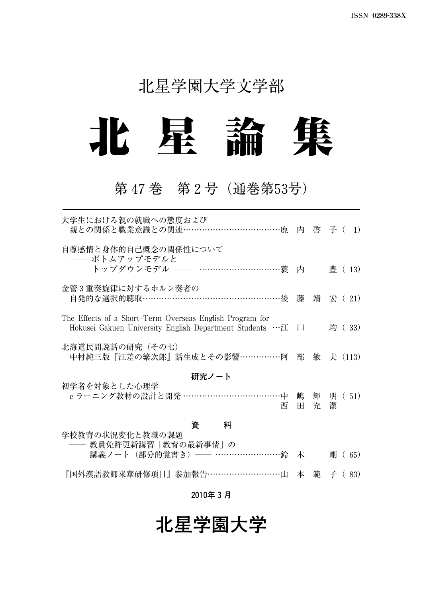## 北星学園大学文学部



## 第47巻 第2号(通巻第53号)

| 大学生における親の就職への態度および<br>親との関係と職業意識との関連…………………………………鹿 内 啓 子( 1)                                                           |         |        |             |
|------------------------------------------------------------------------------------------------------------------------|---------|--------|-------------|
| 自尊感情と身体的自己概念の関係性について<br>―― ボトムアップモデルと<br>トップダウンモデル ―― …………………………蓑 内                                                    |         |        | 豊 (13)      |
| 金管3重奏旋律に対するホルン奏者の<br>自発的な選択的聴取……………………………………………後 藤 靖 宏 ( 21)                                                           |         |        |             |
| The Effects of a Short-Term Overseas English Program for<br>Hokusei Gakuen University English Department Students …江 口 |         |        | 均 (33)      |
| 北海道民間説話の研究(その七)<br>中村純三版『江差の繁次郎』話生成とその影響……………阿                                                                         | 部       |        | 敏 夫 (113)   |
| 研究ノート                                                                                                                  |         |        |             |
| 初学者を対象とした心理学<br>e ラーニング教材の設計と開発 ………………………………中<br>西                                                                     | 嶋<br>H. | 輝<br>充 | 明 (51)<br>潔 |
| 資<br>料                                                                                                                 |         |        |             |
| 学校教育の状況変化と教職の課題<br>―― 教員免許更新講習「教育の最新事情」の                                                                               |         |        |             |
| 講義ノート(部分的覚書き)—— ……………………鈴                                                                                              | 木       |        | 酬<br>65)    |

『国外漢語教師来華研修項目』参加報告………………………山 本 範 子( 83)

#### **2010年3月**

## **北星学園大学**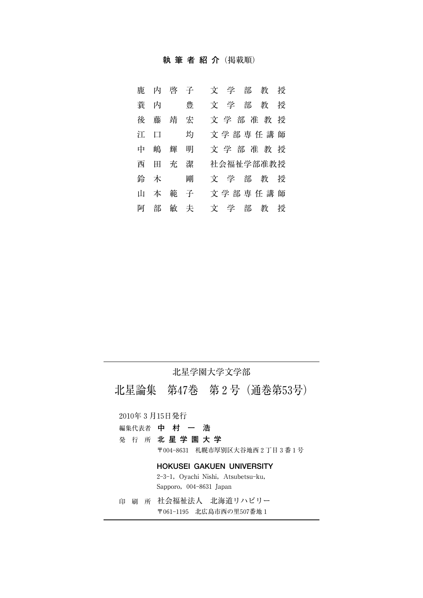#### **執筆者紹介**(掲載順)

| 鹿   | 内 | 啓  | 子 | 学<br>部<br>教<br>授<br>Ÿ |
|-----|---|----|---|-----------------------|
| 蓑   | 内 |    | 豊 | 学<br>部<br>教<br>授<br>文 |
| 徬   | 藤 | 靖  | 宏 | 文学部准教授                |
| ŸТ. | 口 |    | 均 | 文学部専任講師               |
| 中   | 嶋 | 輝  | 明 | 文学部准教授                |
| 西   | ⊞ | 充  | 潔 | 社会福祉学部准教授             |
| 鈴   | 木 |    | 剛 | 文学<br>部<br>教<br>授     |
| īП  | 本 | 範  | 子 | 文学部専任講師               |
| 阿   | 部 | 敏夫 |   | 文学<br>部<br>教<br>授     |

#### 北星学園大学文学部

北星論集 第47巻 第2号(通巻第53号)

2010年3月15日発行

- 編集代表者 **中村一浩**
- 発行所 **北星学園大学**

〒0048631 札幌市厚別区大谷地西2丁目3番1号

#### **HOKUSEI GAKUEN UNIVERSITY**

2-3-1, Oyachi Nishi, Atsubetsu-ku, Sapporo, 004-8631 Japan

印刷所 社会福祉法人 北海道リハビリー 〒0611195 北広島市西の里507番地1